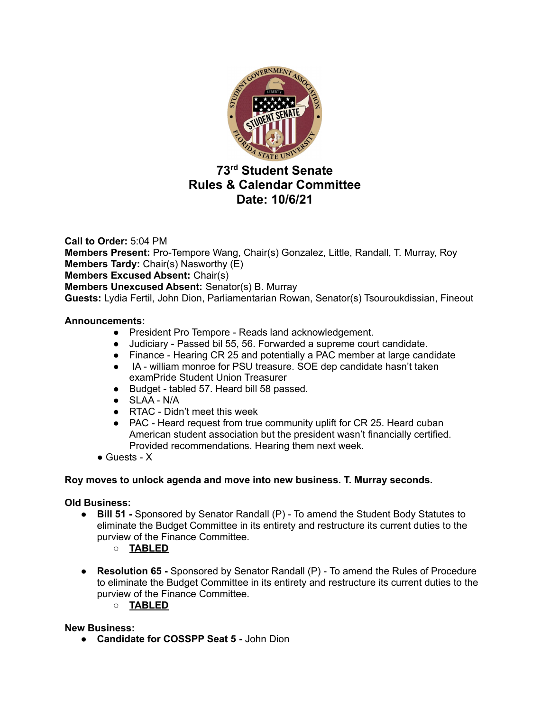

# **73 rd Student Senate Rules & Calendar Committee Date: 10/6/21**

**Call to Order:** 5:04 PM **Members Present:** Pro-Tempore Wang, Chair(s) Gonzalez, Little, Randall, T. Murray, Roy **Members Tardy:** Chair(s) Nasworthy (E) **Members Excused Absent:** Chair(s) **Members Unexcused Absent:** Senator(s) B. Murray **Guests:** Lydia Fertil, John Dion, Parliamentarian Rowan, Senator(s) Tsouroukdissian, Fineout

# **Announcements:**

- President Pro Tempore Reads land acknowledgement.
- Judiciary Passed bil 55, 56. Forwarded a supreme court candidate.
- Finance Hearing CR 25 and potentially a PAC member at large candidate
- IA william monroe for PSU treasure. SOE dep candidate hasn't taken examPride Student Union Treasurer
- Budget tabled 57. Heard bill 58 passed.
- SLAA N/A
- RTAC Didn't meet this week
- PAC Heard request from true community uplift for CR 25. Heard cuban American student association but the president wasn't financially certified. Provided recommendations. Hearing them next week.
- $\bullet$  Guests X

#### **Roy moves to unlock agenda and move into new business. T. Murray seconds.**

#### **Old Business:**

- **Bill 51 -** Sponsored by Senator Randall (P) To amend the Student Body Statutes to eliminate the Budget Committee in its entirety and restructure its current duties to the purview of the Finance Committee.
	- **○ TABLED**
- **● Resolution 65 -** Sponsored by Senator Randall (P) To amend the Rules of Procedure to eliminate the Budget Committee in its entirety and restructure its current duties to the purview of the Finance Committee.
	- **○ TABLED**

#### **New Business:**

**● Candidate for COSSPP Seat 5 -** John Dion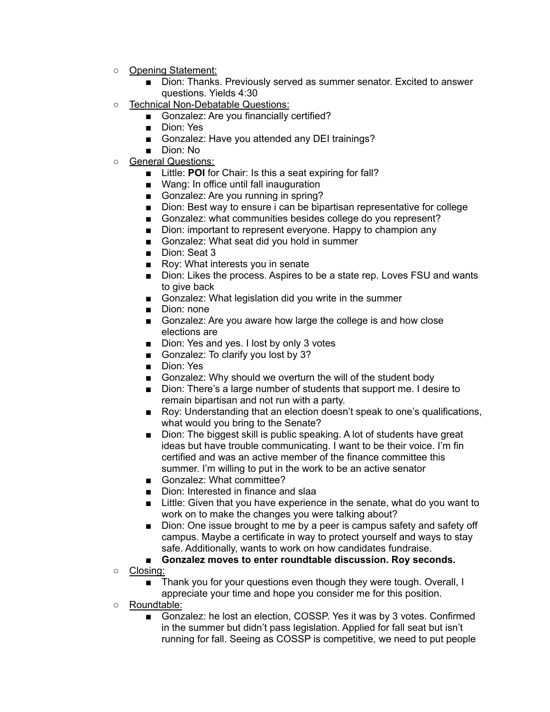- Opening Statement:
	- Dion: Thanks. Previously served as summer senator. Excited to answer questions. Yields 4:30
- Technical Non-Debatable Questions:
	- Gonzalez: Are you financially certified?
	- Dion: Yes
	- Gonzalez: Have you attended any DEI trainings?
	- Dion: No
- General Questions:
	- Little: **POI** for Chair: Is this a seat expiring for fall?
	- Wang: In office until fall inauguration
	- Gonzalez: Are you running in spring?
	- Dion: Best way to ensure i can be bipartisan representative for college
	- Gonzalez: what communities besides college do you represent?
	- Dion: important to represent everyone. Happy to champion any
	- Gonzalez: What seat did you hold in summer
	- Dion: Seat 3
	- Roy: What interests you in senate
	- Dion: Likes the process. Aspires to be a state rep. Loves FSU and wants to give back
	- Gonzalez: What legislation did you write in the summer
	- Dion: none
	- Gonzalez: Are you aware how large the college is and how close elections are
	- Dion: Yes and yes. I lost by only 3 votes
	- Gonzalez: To clarify you lost by 3?
	- Dion: Yes
	- Gonzalez: Why should we overturn the will of the student body
	- Dion: There's a large number of students that support me. I desire to remain bipartisan and not run with a party.
	- Roy: Understanding that an election doesn't speak to one's qualifications, what would you bring to the Senate?
	- Dion: The biggest skill is public speaking. A lot of students have great ideas but have trouble communicating. I want to be their voice. I'm fin certified and was an active member of the finance committee this summer. I'm willing to put in the work to be an active senator
	- Gonzalez: What committee?
	- Dion: Interested in finance and slaa
	- Little: Given that you have experience in the senate, what do you want to work on to make the changes you were talking about?
	- Dion: One issue brought to me by a peer is campus safety and safety off campus. Maybe a certificate in way to protect yourself and ways to stay safe. Additionally, wants to work on how candidates fundraise.
	- **■ Gonzalez moves to enter roundtable discussion. Roy seconds.**
- Closing:
	- Thank you for your questions even though they were tough. Overall, I appreciate your time and hope you consider me for this position.
- Roundtable:
	- Gonzalez: he lost an election, COSSP. Yes it was by 3 votes. Confirmed in the summer but didn't pass legislation. Applied for fall seat but isn't running for fall. Seeing as COSSP is competitive, we need to put people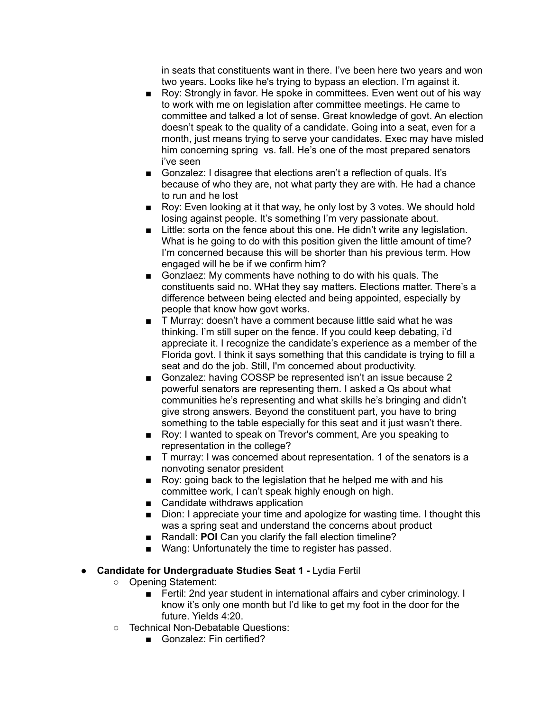in seats that constituents want in there. I've been here two years and won two years. Looks like he's trying to bypass an election. I'm against it.

- Roy: Strongly in favor. He spoke in committees. Even went out of his way to work with me on legislation after committee meetings. He came to committee and talked a lot of sense. Great knowledge of govt. An election doesn't speak to the quality of a candidate. Going into a seat, even for a month, just means trying to serve your candidates. Exec may have misled him concerning spring vs. fall. He's one of the most prepared senators i've seen
- Gonzalez: I disagree that elections aren't a reflection of quals. It's because of who they are, not what party they are with. He had a chance to run and he lost
- Roy: Even looking at it that way, he only lost by 3 votes. We should hold losing against people. It's something I'm very passionate about.
- Little: sorta on the fence about this one. He didn't write any legislation. What is he going to do with this position given the little amount of time? I'm concerned because this will be shorter than his previous term. How engaged will he be if we confirm him?
- Gonzlaez: My comments have nothing to do with his quals. The constituents said no. WHat they say matters. Elections matter. There's a difference between being elected and being appointed, especially by people that know how govt works.
- T Murray: doesn't have a comment because little said what he was thinking. I'm still super on the fence. If you could keep debating, i'd appreciate it. I recognize the candidate's experience as a member of the Florida govt. I think it says something that this candidate is trying to fill a seat and do the job. Still, I'm concerned about productivity.
- Gonzalez: having COSSP be represented isn't an issue because 2 powerful senators are representing them. I asked a Qs about what communities he's representing and what skills he's bringing and didn't give strong answers. Beyond the constituent part, you have to bring something to the table especially for this seat and it just wasn't there.
- Roy: I wanted to speak on Trevor's comment, Are you speaking to representation in the college?
- T murray: I was concerned about representation. 1 of the senators is a nonvoting senator president
- Roy: going back to the legislation that he helped me with and his committee work, I can't speak highly enough on high.
- Candidate withdraws application
- Dion: I appreciate your time and apologize for wasting time. I thought this was a spring seat and understand the concerns about product
- Randall: **POI** Can you clarify the fall election timeline?
- Wang: Unfortunately the time to register has passed.

#### ● **Candidate for Undergraduate Studies Seat 1 -** Lydia Fertil

- Opening Statement:
	- Fertil: 2nd year student in international affairs and cyber criminology. I know it's only one month but I'd like to get my foot in the door for the future. Yields 4:20.
- Technical Non-Debatable Questions:
	- Gonzalez: Fin certified?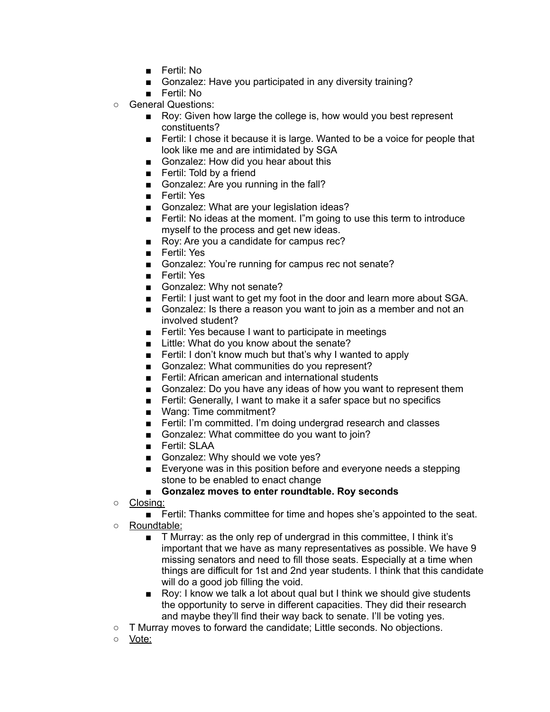- Fertil: No
- Gonzalez: Have you participated in any diversity training?
- Fertil: No
- General Questions:
	- Roy: Given how large the college is, how would you best represent constituents?
	- Fertil: I chose it because it is large. Wanted to be a voice for people that look like me and are intimidated by SGA
	- Gonzalez: How did you hear about this
	- Fertil: Told by a friend
	- Gonzalez: Are you running in the fall?
	- Fertil: Yes
	- Gonzalez: What are your legislation ideas?
	- Fertil: No ideas at the moment. I''m going to use this term to introduce myself to the process and get new ideas.
	- Roy: Are you a candidate for campus rec?
	- Fertil: Yes
	- Gonzalez: You're running for campus rec not senate?
	- Fertil: Yes
	- Gonzalez: Why not senate?
	- Fertil: I just want to get my foot in the door and learn more about SGA.
	- Gonzalez: Is there a reason you want to join as a member and not an involved student?
	- Fertil: Yes because I want to participate in meetings
	- Little: What do you know about the senate?
	- Fertil: I don't know much but that's why I wanted to apply
	- Gonzalez: What communities do you represent?
	- Fertil: African american and international students
	- Gonzalez: Do you have any ideas of how you want to represent them
	- Fertil: Generally, I want to make it a safer space but no specifics
	- Wang: Time commitment?
	- Fertil: I'm committed. I'm doing undergrad research and classes
	- Gonzalez: What committee do you want to join?
	- Fertil: SLAA
	- Gonzalez: Why should we vote yes?
	- Everyone was in this position before and everyone needs a stepping stone to be enabled to enact change

#### **■ Gonzalez moves to enter roundtable. Roy seconds**

○ Closing:

■ Fertil: Thanks committee for time and hopes she's appointed to the seat.

- Roundtable:
	- T Murray: as the only rep of undergrad in this committee, I think it's important that we have as many representatives as possible. We have 9 missing senators and need to fill those seats. Especially at a time when things are difficult for 1st and 2nd year students. I think that this candidate will do a good job filling the void.
	- Roy: I know we talk a lot about qual but I think we should give students the opportunity to serve in different capacities. They did their research and maybe they'll find their way back to senate. I'll be voting yes.
- T Murray moves to forward the candidate; Little seconds. No objections.
- Vote: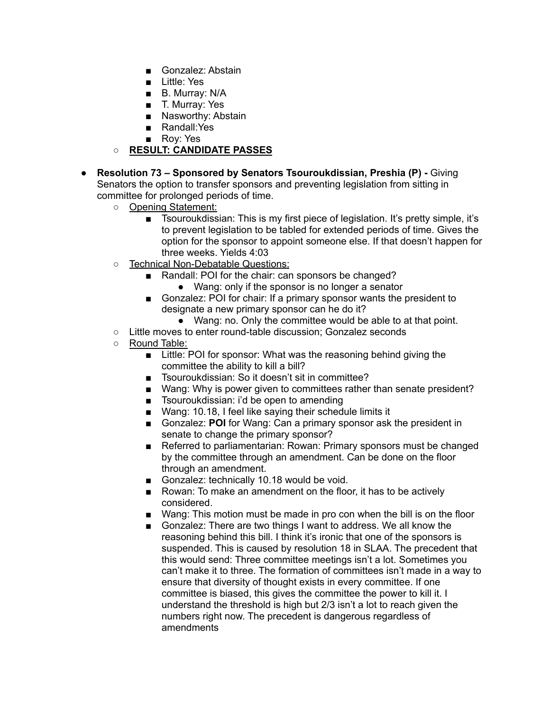- Gonzalez: Abstain
- Little: Yes
- B. Murray: N/A
- T. Murray: Yes
- Nasworthy: Abstain
- Randall:Yes
- Roy: Yes
- **○ RESULT: CANDIDATE PASSES**
- **● Resolution 73 – Sponsored by Senators Tsouroukdissian, Preshia (P) -** Giving Senators the option to transfer sponsors and preventing legislation from sitting in committee for prolonged periods of time.
	- Opening Statement:
		- Tsouroukdissian: This is my first piece of legislation. It's pretty simple, it's to prevent legislation to be tabled for extended periods of time. Gives the option for the sponsor to appoint someone else. If that doesn't happen for three weeks. Yields 4:03
	- Technical Non-Debatable Questions:
		- Randall: POI for the chair: can sponsors be changed?
			- Wang: only if the sponsor is no longer a senator
		- Gonzalez: POI for chair: If a primary sponsor wants the president to designate a new primary sponsor can he do it?
			- Wang: no. Only the committee would be able to at that point.
	- Little moves to enter round-table discussion; Gonzalez seconds
	- Round Table:
		- Little: POI for sponsor: What was the reasoning behind giving the committee the ability to kill a bill?
		- Tsouroukdissian: So it doesn't sit in committee?
		- Wang: Why is power given to committees rather than senate president?
		- Tsouroukdissian: i'd be open to amending
		- Wang: 10.18, I feel like saying their schedule limits it
		- Gonzalez: **POI** for Wang: Can a primary sponsor ask the president in senate to change the primary sponsor?
		- Referred to parliamentarian: Rowan: Primary sponsors must be changed by the committee through an amendment. Can be done on the floor through an amendment.
		- Gonzalez: technically 10.18 would be void.
		- Rowan: To make an amendment on the floor, it has to be actively considered.
		- Wang: This motion must be made in pro con when the bill is on the floor
		- Gonzalez: There are two things I want to address. We all know the reasoning behind this bill. I think it's ironic that one of the sponsors is suspended. This is caused by resolution 18 in SLAA. The precedent that this would send: Three committee meetings isn't a lot. Sometimes you can't make it to three. The formation of committees isn't made in a way to ensure that diversity of thought exists in every committee. If one committee is biased, this gives the committee the power to kill it. I understand the threshold is high but 2/3 isn't a lot to reach given the numbers right now. The precedent is dangerous regardless of amendments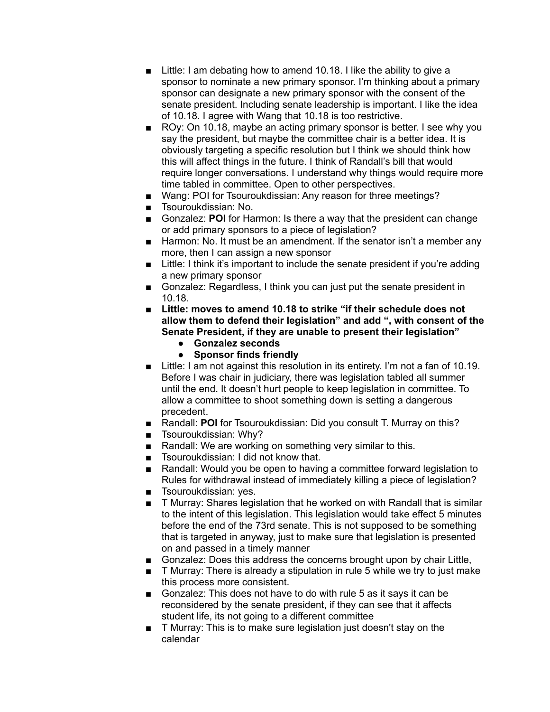- Little: I am debating how to amend 10.18. I like the ability to give a sponsor to nominate a new primary sponsor. I'm thinking about a primary sponsor can designate a new primary sponsor with the consent of the senate president. Including senate leadership is important. I like the idea of 10.18. I agree with Wang that 10.18 is too restrictive.
- ROy: On 10.18, maybe an acting primary sponsor is better. I see why you say the president, but maybe the committee chair is a better idea. It is obviously targeting a specific resolution but I think we should think how this will affect things in the future. I think of Randall's bill that would require longer conversations. I understand why things would require more time tabled in committee. Open to other perspectives.
- Wang: POI for Tsouroukdissian: Any reason for three meetings?
- Tsouroukdissian: No.
- Gonzalez: **POI** for Harmon: Is there a way that the president can change or add primary sponsors to a piece of legislation?
- Harmon: No. It must be an amendment. If the senator isn't a member any more, then I can assign a new sponsor
- Little: I think it's important to include the senate president if you're adding a new primary sponsor
- Gonzalez: Regardless, I think you can just put the senate president in 10.18.
- **■ Little: moves to amend 10.18 to strike "if their schedule does not allow them to defend their legislation" and add ", with consent of the Senate President, if they are unable to present their legislation"**
	- **● Gonzalez seconds**
	- **● Sponsor finds friendly**
- Little: I am not against this resolution in its entirety. I'm not a fan of 10.19. Before I was chair in judiciary, there was legislation tabled all summer until the end. It doesn't hurt people to keep legislation in committee. To allow a committee to shoot something down is setting a dangerous precedent.
- Randall: **POI** for Tsouroukdissian: Did you consult T. Murray on this?
- Tsouroukdissian: Why?
- Randall: We are working on something very similar to this.
- Tsouroukdissian: I did not know that.
- Randall: Would you be open to having a committee forward legislation to Rules for withdrawal instead of immediately killing a piece of legislation?
- Tsouroukdissian: ves.
- T Murray: Shares legislation that he worked on with Randall that is similar to the intent of this legislation. This legislation would take effect 5 minutes before the end of the 73rd senate. This is not supposed to be something that is targeted in anyway, just to make sure that legislation is presented on and passed in a timely manner
- Gonzalez: Does this address the concerns brought upon by chair Little,
- T Murray: There is already a stipulation in rule 5 while we try to just make this process more consistent.
- Gonzalez: This does not have to do with rule 5 as it says it can be reconsidered by the senate president, if they can see that it affects student life, its not going to a different committee
- T Murray: This is to make sure legislation just doesn't stay on the calendar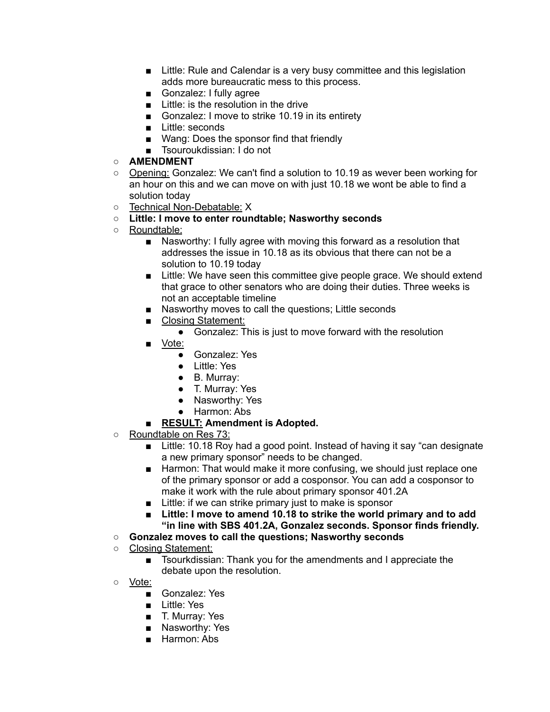- Little: Rule and Calendar is a very busy committee and this legislation adds more bureaucratic mess to this process.
- Gonzalez: I fully agree
- Little: is the resolution in the drive
- Gonzalez: I move to strike 10.19 in its entirety
- Little: seconds
- Wang: Does the sponsor find that friendly
- Tsouroukdissian: I do not

# ○ **AMENDMENT**

- Opening: Gonzalez: We can't find a solution to 10.19 as wever been working for an hour on this and we can move on with just 10.18 we wont be able to find a solution today
- Technical Non-Debatable: X
- **Little: I move to enter roundtable; Nasworthy seconds**
- Roundtable:
	- Nasworthy: I fully agree with moving this forward as a resolution that addresses the issue in 10.18 as its obvious that there can not be a solution to 10.19 today
	- Little: We have seen this committee give people grace. We should extend that grace to other senators who are doing their duties. Three weeks is not an acceptable timeline
	- Nasworthy moves to call the questions; Little seconds
	- Closing Statement:
		- Gonzalez: This is just to move forward with the resolution
	- Vote:
		- Gonzalez: Yes
		- Little: Yes
		- B. Murray:
		- T. Murray: Yes
		- Nasworthy: Yes
		- Harmon: Abs
	- **■ RESULT: Amendment is Adopted.**
- Roundtable on Res 73:
	- Little: 10.18 Roy had a good point. Instead of having it say "can designate a new primary sponsor" needs to be changed.
	- Harmon: That would make it more confusing, we should just replace one of the primary sponsor or add a cosponsor. You can add a cosponsor to make it work with the rule about primary sponsor 401.2A
	- Little: if we can strike primary just to make is sponsor
	- **■ Little: I move to amend 10.18 to strike the world primary and to add "in line with SBS 401.2A, Gonzalez seconds. Sponsor finds friendly.**
- **○ Gonzalez moves to call the questions; Nasworthy seconds**
- Closing Statement:
	- Tsourkdissian: Thank you for the amendments and I appreciate the debate upon the resolution.
- <u>Vote:</u>
	- Gonzalez: Yes
	- Little: Yes
	- T. Murray: Yes
	- Nasworthy: Yes
	- Harmon: Abs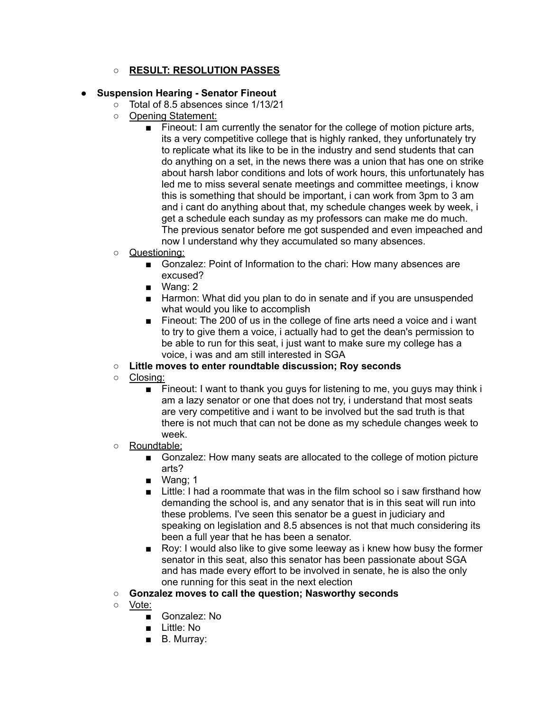# **○ RESULT: RESOLUTION PASSES**

- **● Suspension Hearing - Senator Fineout**
	- Total of 8.5 absences since 1/13/21
	- Opening Statement:
		- Fineout: I am currently the senator for the college of motion picture arts, its a very competitive college that is highly ranked, they unfortunately try to replicate what its like to be in the industry and send students that can do anything on a set, in the news there was a union that has one on strike about harsh labor conditions and lots of work hours, this unfortunately has led me to miss several senate meetings and committee meetings, i know this is something that should be important, i can work from 3pm to 3 am and i cant do anything about that, my schedule changes week by week, i get a schedule each sunday as my professors can make me do much. The previous senator before me got suspended and even impeached and now I understand why they accumulated so many absences.
	- Questioning:
		- Gonzalez: Point of Information to the chari: How many absences are excused?
		- Wang: 2
		- Harmon: What did you plan to do in senate and if you are unsuspended what would you like to accomplish
		- Fineout: The 200 of us in the college of fine arts need a voice and i want to try to give them a voice, i actually had to get the dean's permission to be able to run for this seat, i just want to make sure my college has a voice, i was and am still interested in SGA
	- **○ Little moves to enter roundtable discussion; Roy seconds**
	- Closing:
		- Fineout: I want to thank you guys for listening to me, you guys may think i am a lazy senator or one that does not try, i understand that most seats are very competitive and i want to be involved but the sad truth is that there is not much that can not be done as my schedule changes week to week.
	- Roundtable:
		- Gonzalez: How many seats are allocated to the college of motion picture arts?
		- Wang; 1
		- Little: I had a roommate that was in the film school so i saw firsthand how demanding the school is, and any senator that is in this seat will run into these problems. I've seen this senator be a guest in judiciary and speaking on legislation and 8.5 absences is not that much considering its been a full year that he has been a senator.
		- Roy: I would also like to give some leeway as i knew how busy the former senator in this seat, also this senator has been passionate about SGA and has made every effort to be involved in senate, he is also the only one running for this seat in the next election
	- **○ Gonzalez moves to call the question; Nasworthy seconds**
	- Vote:
		- Gonzalez: No
		- Little: No
		- B. Murray: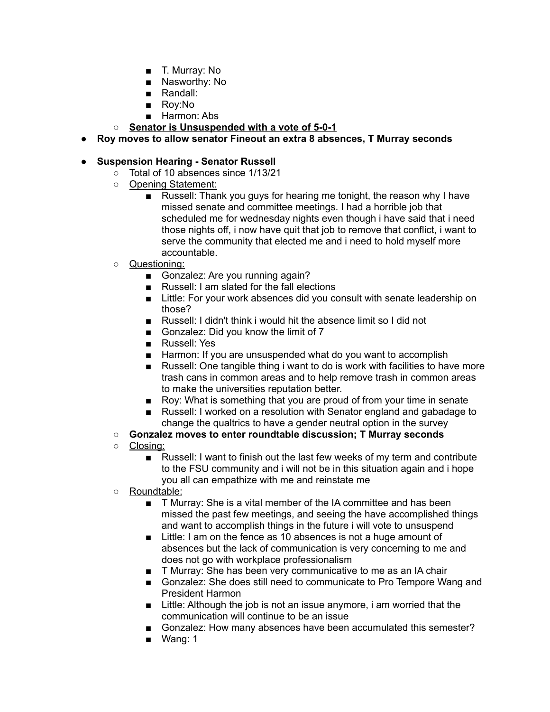- T. Murray: No
- Nasworthy: No
- Randall:
- Rov:No
- Harmon: Abs
- **○ Senator is Unsuspended with a vote of 5-0-1**
- **● Roy moves to allow senator Fineout an extra 8 absences, T Murray seconds**

# **● Suspension Hearing - Senator Russell**

- Total of 10 absences since 1/13/21
- Opening Statement:
	- Russell: Thank you guys for hearing me tonight, the reason why I have missed senate and committee meetings. I had a horrible job that scheduled me for wednesday nights even though i have said that i need those nights off, i now have quit that job to remove that conflict, i want to serve the community that elected me and i need to hold myself more accountable.
- Questioning:
	- Gonzalez: Are you running again?
	- Russell: I am slated for the fall elections
	- Little: For your work absences did you consult with senate leadership on those?
	- Russell: I didn't think i would hit the absence limit so I did not
	- Gonzalez: Did you know the limit of 7
	- Russell: Yes
	- Harmon: If you are unsuspended what do you want to accomplish
	- Russell: One tangible thing i want to do is work with facilities to have more trash cans in common areas and to help remove trash in common areas to make the universities reputation better.
	- Roy: What is something that you are proud of from your time in senate
	- Russell: I worked on a resolution with Senator england and gabadage to change the qualtrics to have a gender neutral option in the survey
- **○ Gonzalez moves to enter roundtable discussion; T Murray seconds**
- Closing:
	- Russell: I want to finish out the last few weeks of my term and contribute to the FSU community and i will not be in this situation again and i hope you all can empathize with me and reinstate me
- Roundtable:
	- T Murray: She is a vital member of the IA committee and has been missed the past few meetings, and seeing the have accomplished things and want to accomplish things in the future i will vote to unsuspend
	- Little: I am on the fence as 10 absences is not a huge amount of absences but the lack of communication is very concerning to me and does not go with workplace professionalism
	- T Murray: She has been very communicative to me as an IA chair
	- Gonzalez: She does still need to communicate to Pro Tempore Wang and President Harmon
	- Little: Although the job is not an issue anymore, i am worried that the communication will continue to be an issue
	- Gonzalez: How many absences have been accumulated this semester?
	- Wang: 1